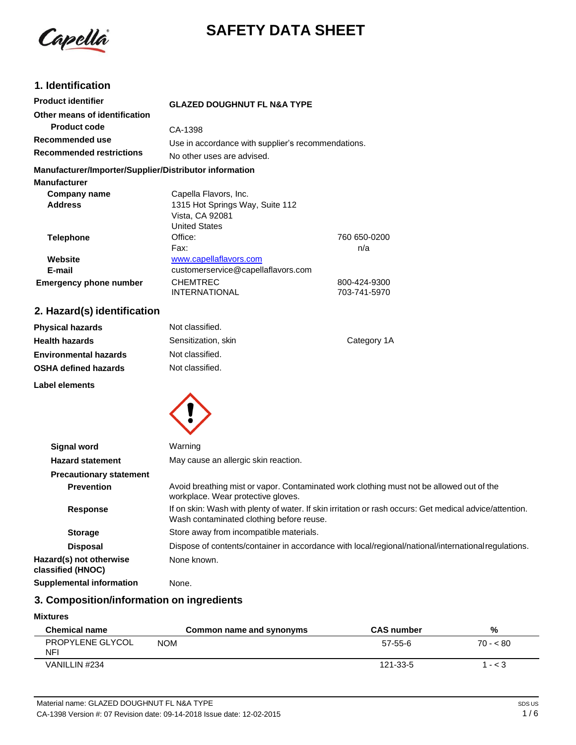

# **SAFETY DATA SHEET**

# **1. Identification**

| <b>Product identifier</b>                              | <b>GLAZED DOUGHNUT FL N&amp;A TYPE</b>             |              |
|--------------------------------------------------------|----------------------------------------------------|--------------|
| Other means of identification                          |                                                    |              |
| <b>Product code</b>                                    | CA-1398                                            |              |
| Recommended use                                        | Use in accordance with supplier's recommendations. |              |
| <b>Recommended restrictions</b>                        | No other uses are advised.                         |              |
| Manufacturer/Importer/Supplier/Distributor information |                                                    |              |
| <b>Manufacturer</b>                                    |                                                    |              |
| Company name                                           | Capella Flavors, Inc.                              |              |
| <b>Address</b>                                         | 1315 Hot Springs Way, Suite 112                    |              |
|                                                        | Vista, CA 92081                                    |              |
|                                                        | <b>United States</b>                               |              |
| <b>Telephone</b>                                       | Office:                                            | 760 650-0200 |
|                                                        | Fax:                                               | n/a          |
| Website                                                | www.capellaflavors.com                             |              |
| E-mail                                                 | customerservice@capellaflavors.com                 |              |
| <b>Emergency phone number</b>                          | <b>CHEMTREC</b>                                    | 800-424-9300 |
|                                                        | <b>INTERNATIONAL</b>                               | 703-741-5970 |
|                                                        |                                                    |              |

# **2. Hazard(s) identification**

| <b>Physical hazards</b>      | Not classified.     |             |
|------------------------------|---------------------|-------------|
| <b>Health hazards</b>        | Sensitization, skin | Category 1A |
| <b>Environmental hazards</b> | Not classified.     |             |
| <b>OSHA defined hazards</b>  | Not classified.     |             |
| Label elements               |                     |             |



| <b>Signal word</b>                           | Warning                                                                                                                                             |
|----------------------------------------------|-----------------------------------------------------------------------------------------------------------------------------------------------------|
| <b>Hazard statement</b>                      | May cause an allergic skin reaction.                                                                                                                |
| <b>Precautionary statement</b>               |                                                                                                                                                     |
| <b>Prevention</b>                            | Avoid breathing mist or vapor. Contaminated work clothing must not be allowed out of the<br>workplace. Wear protective gloves.                      |
| <b>Response</b>                              | If on skin: Wash with plenty of water. If skin irritation or rash occurs: Get medical advice/attention.<br>Wash contaminated clothing before reuse. |
| <b>Storage</b>                               | Store away from incompatible materials.                                                                                                             |
| <b>Disposal</b>                              | Dispose of contents/container in accordance with local/regional/national/international regulations.                                                 |
| Hazard(s) not otherwise<br>classified (HNOC) | None known.                                                                                                                                         |
| <b>Supplemental information</b>              | None.                                                                                                                                               |

# **3. Composition/information on ingredients**

### **Mixtures**

| <b>Chemical name</b>    | Common name and synonyms | <b>CAS number</b> | %         |
|-------------------------|--------------------------|-------------------|-----------|
| PROPYLENE GLYCOL<br>NFI | <b>NOM</b>               | 57-55-6           | $70 - 80$ |
| VANILLIN #234           |                          | 121-33-5          | $- < 3$   |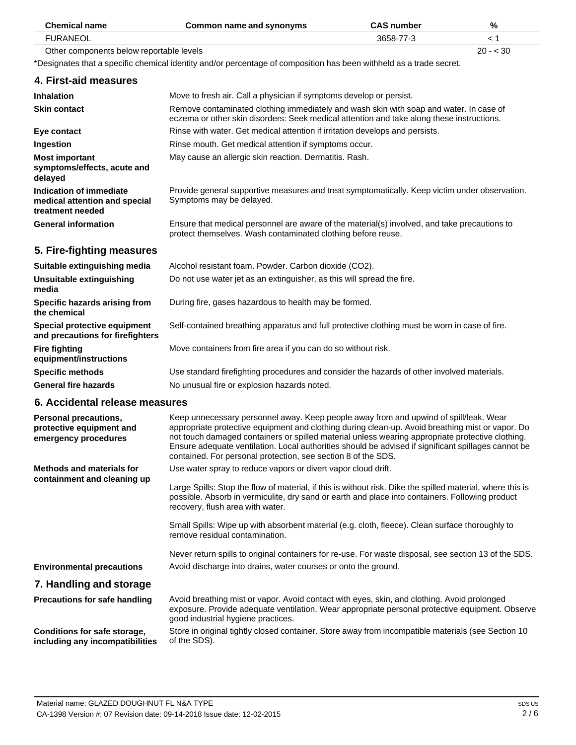| <b>Chemical name</b>                                                         | Common name and synonyms                                                                                                                                                                                                                                                                                                                                                                                                                                              | <b>CAS number</b> | %         |
|------------------------------------------------------------------------------|-----------------------------------------------------------------------------------------------------------------------------------------------------------------------------------------------------------------------------------------------------------------------------------------------------------------------------------------------------------------------------------------------------------------------------------------------------------------------|-------------------|-----------|
| <b>FURANEOL</b>                                                              |                                                                                                                                                                                                                                                                                                                                                                                                                                                                       | 3658-77-3         | < 1       |
| Other components below reportable levels                                     |                                                                                                                                                                                                                                                                                                                                                                                                                                                                       |                   | $20 - 30$ |
|                                                                              | *Designates that a specific chemical identity and/or percentage of composition has been withheld as a trade secret.                                                                                                                                                                                                                                                                                                                                                   |                   |           |
| 4. First-aid measures                                                        |                                                                                                                                                                                                                                                                                                                                                                                                                                                                       |                   |           |
| <b>Inhalation</b>                                                            | Move to fresh air. Call a physician if symptoms develop or persist.                                                                                                                                                                                                                                                                                                                                                                                                   |                   |           |
| <b>Skin contact</b>                                                          | Remove contaminated clothing immediately and wash skin with soap and water. In case of<br>eczema or other skin disorders: Seek medical attention and take along these instructions.                                                                                                                                                                                                                                                                                   |                   |           |
| Eye contact                                                                  | Rinse with water. Get medical attention if irritation develops and persists.                                                                                                                                                                                                                                                                                                                                                                                          |                   |           |
| Ingestion                                                                    | Rinse mouth. Get medical attention if symptoms occur.                                                                                                                                                                                                                                                                                                                                                                                                                 |                   |           |
| <b>Most important</b><br>symptoms/effects, acute and<br>delayed              | May cause an allergic skin reaction. Dermatitis. Rash.                                                                                                                                                                                                                                                                                                                                                                                                                |                   |           |
| Indication of immediate<br>medical attention and special<br>treatment needed | Provide general supportive measures and treat symptomatically. Keep victim under observation.<br>Symptoms may be delayed.                                                                                                                                                                                                                                                                                                                                             |                   |           |
| <b>General information</b>                                                   | Ensure that medical personnel are aware of the material(s) involved, and take precautions to<br>protect themselves. Wash contaminated clothing before reuse.                                                                                                                                                                                                                                                                                                          |                   |           |
| 5. Fire-fighting measures                                                    |                                                                                                                                                                                                                                                                                                                                                                                                                                                                       |                   |           |
| Suitable extinguishing media                                                 | Alcohol resistant foam. Powder. Carbon dioxide (CO2).                                                                                                                                                                                                                                                                                                                                                                                                                 |                   |           |
| Unsuitable extinguishing<br>media                                            | Do not use water jet as an extinguisher, as this will spread the fire.                                                                                                                                                                                                                                                                                                                                                                                                |                   |           |
| Specific hazards arising from<br>the chemical                                | During fire, gases hazardous to health may be formed.                                                                                                                                                                                                                                                                                                                                                                                                                 |                   |           |
| Special protective equipment<br>and precautions for firefighters             | Self-contained breathing apparatus and full protective clothing must be worn in case of fire.                                                                                                                                                                                                                                                                                                                                                                         |                   |           |
| <b>Fire fighting</b><br>equipment/instructions                               | Move containers from fire area if you can do so without risk.                                                                                                                                                                                                                                                                                                                                                                                                         |                   |           |
| <b>Specific methods</b>                                                      | Use standard firefighting procedures and consider the hazards of other involved materials.                                                                                                                                                                                                                                                                                                                                                                            |                   |           |
| <b>General fire hazards</b>                                                  | No unusual fire or explosion hazards noted.                                                                                                                                                                                                                                                                                                                                                                                                                           |                   |           |
| 6. Accidental release measures                                               |                                                                                                                                                                                                                                                                                                                                                                                                                                                                       |                   |           |
| Personal precautions,<br>protective equipment and<br>emergency procedures    | Keep unnecessary personnel away. Keep people away from and upwind of spill/leak. Wear<br>appropriate protective equipment and clothing during clean-up. Avoid breathing mist or vapor. Do<br>not touch damaged containers or spilled material unless wearing appropriate protective clothing.<br>Ensure adequate ventilation. Local authorities should be advised if significant spillages cannot be<br>contained. For personal protection, see section 8 of the SDS. |                   |           |
| <b>Methods and materials for</b>                                             | Use water spray to reduce vapors or divert vapor cloud drift.                                                                                                                                                                                                                                                                                                                                                                                                         |                   |           |
| containment and cleaning up                                                  | Large Spills: Stop the flow of material, if this is without risk. Dike the spilled material, where this is<br>possible. Absorb in vermiculite, dry sand or earth and place into containers. Following product<br>recovery, flush area with water.                                                                                                                                                                                                                     |                   |           |
|                                                                              | Small Spills: Wipe up with absorbent material (e.g. cloth, fleece). Clean surface thoroughly to<br>remove residual contamination.                                                                                                                                                                                                                                                                                                                                     |                   |           |
| <b>Environmental precautions</b>                                             | Never return spills to original containers for re-use. For waste disposal, see section 13 of the SDS.<br>Avoid discharge into drains, water courses or onto the ground.                                                                                                                                                                                                                                                                                               |                   |           |
| 7. Handling and storage                                                      |                                                                                                                                                                                                                                                                                                                                                                                                                                                                       |                   |           |
| <b>Precautions for safe handling</b>                                         | Avoid breathing mist or vapor. Avoid contact with eyes, skin, and clothing. Avoid prolonged<br>exposure. Provide adequate ventilation. Wear appropriate personal protective equipment. Observe<br>good industrial hygiene practices.                                                                                                                                                                                                                                  |                   |           |
| Conditions for safe storage,<br>including any incompatibilities              | Store in original tightly closed container. Store away from incompatible materials (see Section 10<br>of the SDS).                                                                                                                                                                                                                                                                                                                                                    |                   |           |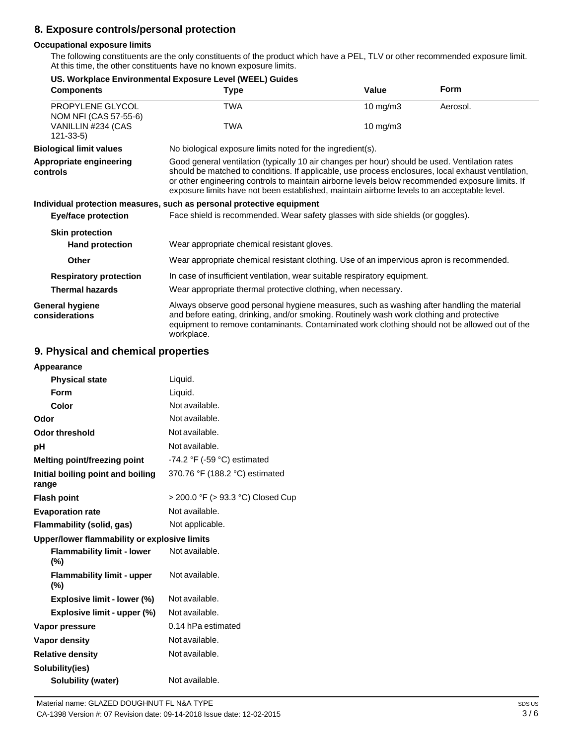# **8. Exposure controls/personal protection**

### **Occupational exposure limits**

The following constituents are the only constituents of the product which have a PEL, TLV or other recommended exposure limit. At this time, the other constituents have no known exposure limits.

|                                           | US. Workplace Environmental Exposure Level (WEEL) Guides                                                                                                                                                                                                                                                                                                                                               |                                                            |          |  |
|-------------------------------------------|--------------------------------------------------------------------------------------------------------------------------------------------------------------------------------------------------------------------------------------------------------------------------------------------------------------------------------------------------------------------------------------------------------|------------------------------------------------------------|----------|--|
| <b>Components</b>                         | <b>Type</b>                                                                                                                                                                                                                                                                                                                                                                                            | Value                                                      | Form     |  |
| PROPYLENE GLYCOL<br>NOM NFI (CAS 57-55-6) | TWA                                                                                                                                                                                                                                                                                                                                                                                                    | $10 \text{ mg/m}$                                          | Aerosol. |  |
| VANILLIN #234 (CAS<br>$121 - 33 - 5$      | TWA                                                                                                                                                                                                                                                                                                                                                                                                    | $10 \text{ mg/m}$                                          |          |  |
| <b>Biological limit values</b>            |                                                                                                                                                                                                                                                                                                                                                                                                        | No biological exposure limits noted for the ingredient(s). |          |  |
| Appropriate engineering<br>controls       | Good general ventilation (typically 10 air changes per hour) should be used. Ventilation rates<br>should be matched to conditions. If applicable, use process enclosures, local exhaust ventilation,<br>or other engineering controls to maintain airborne levels below recommended exposure limits. If<br>exposure limits have not been established, maintain airborne levels to an acceptable level. |                                                            |          |  |
|                                           | Individual protection measures, such as personal protective equipment                                                                                                                                                                                                                                                                                                                                  |                                                            |          |  |
| <b>Eye/face protection</b>                | Face shield is recommended. Wear safety glasses with side shields (or goggles).                                                                                                                                                                                                                                                                                                                        |                                                            |          |  |
| <b>Skin protection</b>                    |                                                                                                                                                                                                                                                                                                                                                                                                        |                                                            |          |  |
| <b>Hand protection</b>                    | Wear appropriate chemical resistant gloves.                                                                                                                                                                                                                                                                                                                                                            |                                                            |          |  |
| Other                                     | Wear appropriate chemical resistant clothing. Use of an impervious apron is recommended.                                                                                                                                                                                                                                                                                                               |                                                            |          |  |
| <b>Respiratory protection</b>             | In case of insufficient ventilation, wear suitable respiratory equipment.                                                                                                                                                                                                                                                                                                                              |                                                            |          |  |
| <b>Thermal hazards</b>                    | Wear appropriate thermal protective clothing, when necessary.                                                                                                                                                                                                                                                                                                                                          |                                                            |          |  |
| General hygiene<br>considerations         | Always observe good personal hygiene measures, such as washing after handling the material<br>and before eating, drinking, and/or smoking. Routinely wash work clothing and protective<br>equipment to remove contaminants. Contaminated work clothing should not be allowed out of the<br>workplace.                                                                                                  |                                                            |          |  |

### **9. Physical and chemical properties**

| Appearance                                   |                                               |
|----------------------------------------------|-----------------------------------------------|
| <b>Physical state</b>                        | Liquid.                                       |
| Form                                         | Liquid.                                       |
| Color                                        | Not available.                                |
| Odor                                         | Not available.                                |
| Odor threshold                               | Not available.                                |
| рH                                           | Not available.                                |
| <b>Melting point/freezing point</b>          | -74.2 $\degree$ F (-59 $\degree$ C) estimated |
| Initial boiling point and boiling<br>range   | 370.76 °F (188.2 °C) estimated                |
| <b>Flash point</b>                           | > 200.0 °F (> 93.3 °C) Closed Cup             |
| <b>Evaporation rate</b>                      | Not available.                                |
| Flammability (solid, gas)                    | Not applicable.                               |
| Upper/lower flammability or explosive limits |                                               |
| <b>Flammability limit - lower</b><br>$(\% )$ | Not available.                                |
| <b>Flammability limit - upper</b><br>$(\% )$ | Not available.                                |
| Explosive limit - lower (%)                  | Not available.                                |
| Explosive limit - upper (%)                  | Not available.                                |
| Vapor pressure                               | 0.14 hPa estimated                            |
| Vapor density                                | Not available.                                |
| <b>Relative density</b>                      | Not available.                                |
| Solubility(ies)                              |                                               |
| Solubility (water)                           | Not available.                                |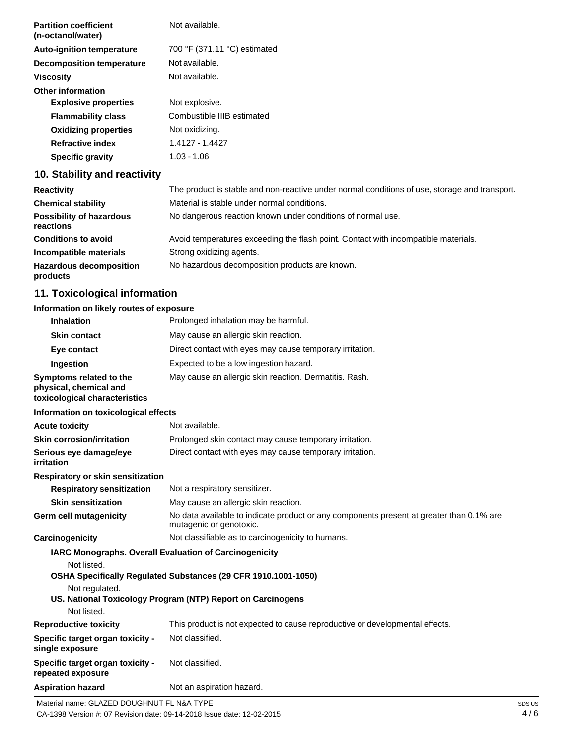| <b>Partition coefficient</b><br>(n-octanol/water) | Not available.               |
|---------------------------------------------------|------------------------------|
| <b>Auto-ignition temperature</b>                  | 700 °F (371.11 °C) estimated |
| <b>Decomposition temperature</b>                  | Not available.               |
| Viscosity                                         | Not available.               |
| <b>Other information</b>                          |                              |
| <b>Explosive properties</b>                       | Not explosive.               |
| <b>Flammability class</b>                         | Combustible IIIB estimated   |
| <b>Oxidizing properties</b>                       | Not oxidizing.               |
| <b>Refractive index</b>                           | 1.4127 - 1.4427              |
| <b>Specific gravity</b>                           | $1.03 - 1.06$                |

# **10. Stability and reactivity**

| <b>Reactivity</b>                            | The product is stable and non-reactive under normal conditions of use, storage and transport. |
|----------------------------------------------|-----------------------------------------------------------------------------------------------|
| <b>Chemical stability</b>                    | Material is stable under normal conditions.                                                   |
| <b>Possibility of hazardous</b><br>reactions | No dangerous reaction known under conditions of normal use.                                   |
| <b>Conditions to avoid</b>                   | Avoid temperatures exceeding the flash point. Contact with incompatible materials.            |
| Incompatible materials                       | Strong oxidizing agents.                                                                      |
| <b>Hazardous decomposition</b><br>products   | No hazardous decomposition products are known.                                                |

# **11. Toxicological information**

### **Information on likely routes of exposure**

| <b>Inhalation</b>                                                                  | Prolonged inhalation may be harmful.                                                                                |
|------------------------------------------------------------------------------------|---------------------------------------------------------------------------------------------------------------------|
| <b>Skin contact</b>                                                                | May cause an allergic skin reaction.                                                                                |
| Eye contact                                                                        | Direct contact with eyes may cause temporary irritation.                                                            |
| Ingestion                                                                          | Expected to be a low ingestion hazard.                                                                              |
| Symptoms related to the<br>physical, chemical and<br>toxicological characteristics | May cause an allergic skin reaction. Dermatitis. Rash.                                                              |
| Information on toxicological effects                                               |                                                                                                                     |
| <b>Acute toxicity</b>                                                              | Not available.                                                                                                      |
| <b>Skin corrosion/irritation</b>                                                   | Prolonged skin contact may cause temporary irritation.                                                              |
| Serious eye damage/eye<br>irritation                                               | Direct contact with eyes may cause temporary irritation.                                                            |
| Respiratory or skin sensitization                                                  |                                                                                                                     |
| <b>Respiratory sensitization</b>                                                   | Not a respiratory sensitizer.                                                                                       |
| <b>Skin sensitization</b>                                                          | May cause an allergic skin reaction.                                                                                |
| Germ cell mutagenicity                                                             | No data available to indicate product or any components present at greater than 0.1% are<br>mutagenic or genotoxic. |
| Carcinogenicity                                                                    | Not classifiable as to carcinogenicity to humans.                                                                   |
| IARC Monographs. Overall Evaluation of Carcinogenicity<br>Not listed.              |                                                                                                                     |
|                                                                                    | OSHA Specifically Regulated Substances (29 CFR 1910.1001-1050)                                                      |
| Not regulated.                                                                     |                                                                                                                     |
| Not listed.                                                                        | US. National Toxicology Program (NTP) Report on Carcinogens                                                         |
| <b>Reproductive toxicity</b>                                                       | This product is not expected to cause reproductive or developmental effects.                                        |
| Specific target organ toxicity -                                                   | Not classified.                                                                                                     |
| single exposure                                                                    |                                                                                                                     |
| Specific target organ toxicity -<br>repeated exposure                              | Not classified.                                                                                                     |
| <b>Aspiration hazard</b>                                                           | Not an aspiration hazard.                                                                                           |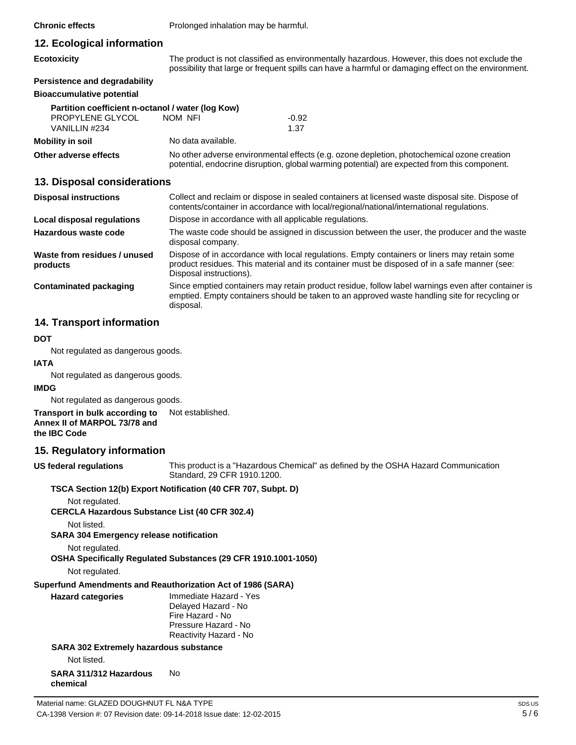| <b>Chronic effects</b>                                                                 | Prolonged inhalation may be harmful.                                                                                                                                                                                   |  |
|----------------------------------------------------------------------------------------|------------------------------------------------------------------------------------------------------------------------------------------------------------------------------------------------------------------------|--|
| 12. Ecological information                                                             |                                                                                                                                                                                                                        |  |
| <b>Ecotoxicity</b>                                                                     | The product is not classified as environmentally hazardous. However, this does not exclude the<br>possibility that large or frequent spills can have a harmful or damaging effect on the environment.                  |  |
| Persistence and degradability                                                          |                                                                                                                                                                                                                        |  |
| <b>Bioaccumulative potential</b>                                                       |                                                                                                                                                                                                                        |  |
| Partition coefficient n-octanol / water (log Kow)<br>PROPYLENE GLYCOL<br>VANILLIN #234 | NOM NFI<br>$-0.92$<br>1.37                                                                                                                                                                                             |  |
| <b>Mobility in soil</b>                                                                | No data available.                                                                                                                                                                                                     |  |
| Other adverse effects                                                                  | No other adverse environmental effects (e.g. ozone depletion, photochemical ozone creation<br>potential, endocrine disruption, global warming potential) are expected from this component.                             |  |
| 13. Disposal considerations                                                            |                                                                                                                                                                                                                        |  |
| <b>Disposal instructions</b>                                                           | Collect and reclaim or dispose in sealed containers at licensed waste disposal site. Dispose of<br>contents/container in accordance with local/regional/national/international regulations.                            |  |
| Local disposal regulations                                                             | Dispose in accordance with all applicable regulations.                                                                                                                                                                 |  |
| Hazardous waste code                                                                   | The waste code should be assigned in discussion between the user, the producer and the waste<br>disposal company.                                                                                                      |  |
| Waste from residues / unused<br>products                                               | Dispose of in accordance with local regulations. Empty containers or liners may retain some<br>product residues. This material and its container must be disposed of in a safe manner (see:<br>Disposal instructions). |  |
| <b>Contaminated packaging</b>                                                          | Since emptied containers may retain product residue, follow label warnings even after container is<br>emptied. Empty containers should be taken to an approved waste handling site for recycling or<br>disposal.       |  |

### **14. Transport information**

#### **DOT**

Not regulated as dangerous goods.

#### **IATA**

Not regulated as dangerous goods.

#### **IMDG**

Not regulated as dangerous goods.

**Transport in bulk according to Annex II of MARPOL 73/78 and the IBC Code** Not established.

#### **15. Regulatory information**

**US federal regulations**

This product is a "Hazardous Chemical" as defined by the OSHA Hazard Communication Standard, 29 CFR 1910.1200.

#### **TSCA Section 12(b) Export Notification (40 CFR 707, Subpt. D)**

Not regulated.

**CERCLA Hazardous Substance List (40 CFR 302.4)**

Not listed.

**SARA 304 Emergency release notification**

Not regulated.

**OSHA Specifically Regulated Substances (29 CFR 1910.1001-1050)**

Not regulated.

### **Superfund Amendments and Reauthorization Act of 1986 (SARA)**

| <b>Hazard categories</b>               | Immediate Hazard - Yes<br>Delayed Hazard - No |
|----------------------------------------|-----------------------------------------------|
|                                        | Fire Hazard - No                              |
|                                        | Pressure Hazard - No                          |
|                                        | Reactivity Hazard - No                        |
| CADA 202 Extramaly bozordous substance |                                               |

### **SARA 302 Extremely hazardous substance**

Not listed.

#### **SARA 311/312 Hazardous** No **chemical**